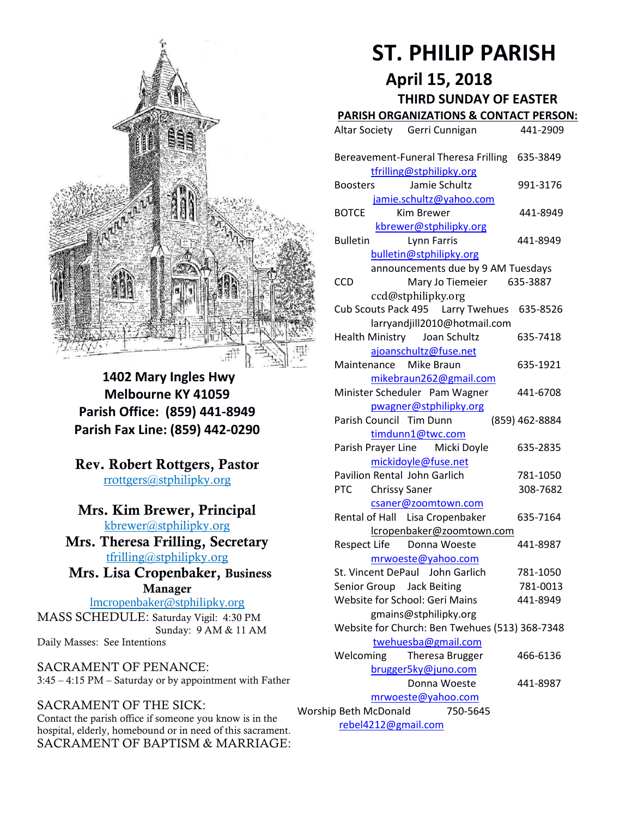

**1402 Mary Ingles Hwy Melbourne KY 41059 Parish Office: (859) 441-8949 Parish Fax Line: (859) 442-0290**

**Rev. Robert Rottgers, Pastor**  [rrottgers@stphilipky.org](mailto:rrottgers@stphilipky.org)

# **Mrs. Kim Brewer, Principal**

[kbrewer@stphilipky.org](mailto:kbrewer@stphilipky.org) **Mrs. Theresa Frilling, Secretary**  [tfrilling@stphilipky.org](mailto:tfrilling@stphilipky.org)

 **Mrs. Lisa Cropenbaker, Business Manager** 

lmcropenbaker@stphilipky.org MASS SCHEDULE: Saturday Vigil: 4:30 PM Sunday: 9 AM & 11 AM Daily Masses: See Intentions

SACRAMENT OF PENANCE: 3:45 – 4:15 PM – Saturday or by appointment with Father

# SACRAMENT OF THE SICK:

Contact the parish office if someone you know is in the hospital, elderly, homebound or in need of this sacrament. SACRAMENT OF BAPTISM & MARRIAGE:

# **ST. PHILIP PARISH**

**April 15, 2018**

# **THIRD SUNDAY OF EASTER**

# **PARISH ORGANIZATIONS & CONTACT PERSON:**

|                                   | Altar Society Gerri Cunnigan                   | 441-2909       |  |
|-----------------------------------|------------------------------------------------|----------------|--|
|                                   |                                                |                |  |
|                                   | Bereavement-Funeral Theresa Frilling           | 635-3849       |  |
|                                   | tfrilling@stphilipky.org                       |                |  |
|                                   | Jamie Schultz<br><b>Boosters</b>               | 991-3176       |  |
| jamie.schultz@yahoo.com           |                                                |                |  |
|                                   | Kim Brewer<br><b>BOTCE</b>                     | 441-8949       |  |
|                                   | kbrewer@stphilipky.org                         |                |  |
|                                   | Lynn Farris<br><b>Bulletin</b>                 | 441-8949       |  |
|                                   | bulletin@stphilipky.org                        |                |  |
|                                   | announcements due by 9 AM Tuesdays             |                |  |
|                                   | <b>CCD</b>                                     | 635-3887       |  |
|                                   | Mary Jo Tiemeier                               |                |  |
|                                   | ccd@stphilipky.org                             |                |  |
|                                   | Cub Scouts Pack 495   Larry Twehues            | 635-8526       |  |
|                                   | larryandjill2010@hotmail.com                   |                |  |
|                                   | Health Ministry Joan Schultz                   | 635-7418       |  |
|                                   | ajoanschultz@fuse.net                          |                |  |
|                                   | Maintenance Mike Braun                         | 635-1921       |  |
|                                   | mikebraun262@gmail.com                         |                |  |
|                                   | Minister Scheduler Pam Wagner                  | 441-6708       |  |
|                                   | pwagner@stphilipky.org                         |                |  |
|                                   | Parish Council Tim Dunn                        | (859) 462-8884 |  |
| timdunn1@twc.com                  |                                                |                |  |
|                                   | Parish Prayer Line Micki Doyle                 | 635-2835       |  |
|                                   | mickidoyle@fuse.net                            |                |  |
|                                   | Pavilion Rental John Garlich                   | 781-1050       |  |
|                                   | <b>PTC</b>                                     | 308-7682       |  |
|                                   | <b>Chrissy Saner</b>                           |                |  |
|                                   | csaner@zoomtown.com                            |                |  |
|                                   | Rental of Hall Lisa Cropenbaker                | 635-7164       |  |
|                                   | lcropenbaker@zoomtown.com                      |                |  |
|                                   | Respect Life Donna Woeste                      | 441-8987       |  |
|                                   | mrwoeste@yahoo.com                             |                |  |
|                                   | St. Vincent DePaul John Garlich                | 781-1050       |  |
|                                   | Senior Group<br><b>Jack Beiting</b>            | 781-0013       |  |
|                                   | <b>Website for School: Geri Mains</b>          | 441-8949       |  |
|                                   | gmains@stphilipky.org                          |                |  |
|                                   | Website for Church: Ben Twehues (513) 368-7348 |                |  |
|                                   | twehuesba@gmail.com                            |                |  |
|                                   | Welcoming<br>Theresa Brugger                   | 466-6136       |  |
|                                   | brugger5ky@juno.com                            |                |  |
|                                   | Donna Woeste                                   | 441-8987       |  |
|                                   | mrwoeste@yahoo.com                             |                |  |
| Worship Beth McDonald<br>750-5645 |                                                |                |  |
|                                   |                                                |                |  |
| rebel4212@gmail.com               |                                                |                |  |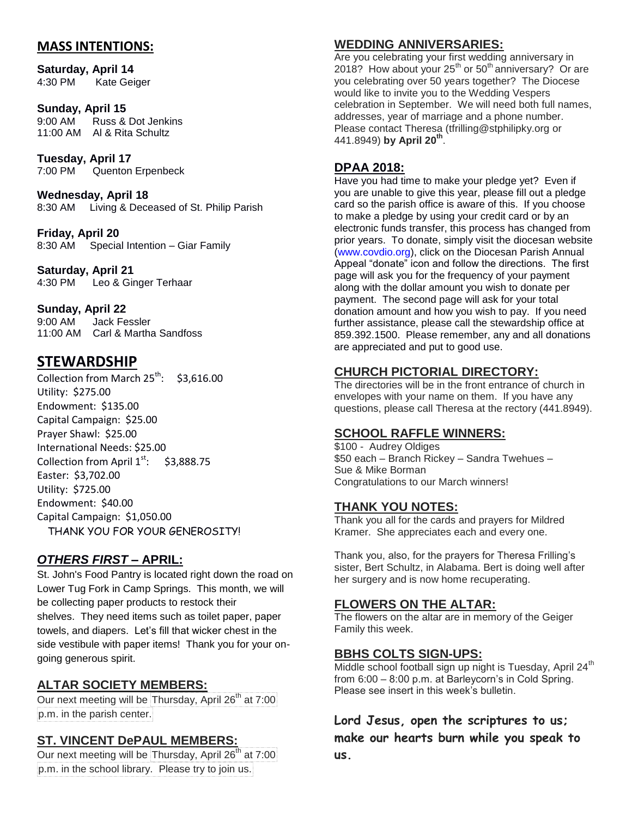## **MASS INTENTIONS:**

**Saturday, April 14** 4:30 PM Kate Geiger

#### **Sunday, April 15**

9:00 AM Russ & Dot Jenkins 11:00 AM Al & Rita Schultz

**Tuesday, April 17** 7:00 PM Quenton Erpenbeck

**Wednesday, April 18** 8:30 AM Living & Deceased of St. Philip Parish

**Friday, April 20**  8:30 AM Special Intention – Giar Family

**Saturday, April 21** 4:30 PM Leo & Ginger Terhaar

#### **Sunday, April 22**

9:00 AM Jack Fessler 11:00 AM Carl & Martha Sandfoss

## **STEWARDSHIP**

Collection from March  $25^{th}$ : \$3,616.00 Utility: \$275.00 Endowment: \$135.00 Capital Campaign: \$25.00 Prayer Shawl: \$25.00 International Needs: \$25.00 Collection from April  $1^{st}$ : \$3,888.75 Easter: \$3,702.00 Utility: \$725.00 Endowment: \$40.00 Capital Campaign: \$1,050.00 THANK YOU FOR YOUR GENEROSITY!

#### *OTHERS FIRST –* **APRIL:**

St. John's Food Pantry is located right down the road on Lower Tug Fork in Camp Springs. This month, we will be collecting paper products to restock their shelves. They need items such as toilet paper, paper towels, and diapers. Let's fill that wicker chest in the side vestibule with paper items! Thank you for your ongoing generous spirit.

#### **ALTAR SOCIETY MEMBERS:**

Our next meeting will be Thursday, April  $26<sup>th</sup>$  at 7:00 p.m. in the parish center.

#### **ST. VINCENT DePAUL MEMBERS:**

Our next meeting will be Thursday, April 26<sup>th</sup> at 7:00 p.m. in the school library. Please try to join us.

#### **WEDDING ANNIVERSARIES:**

Are you celebrating your first wedding anniversary in 2018? How about your  $25<sup>th</sup>$  or  $50<sup>th</sup>$  anniversary? Or are you celebrating over 50 years together? The Diocese would like to invite you to the Wedding Vespers celebration in September. We will need both full names, addresses, year of marriage and a phone number. Please contact Theresa [\(tfrilling@stphilipky.org](mailto:tfrilling@stphilipky.org) or 441.8949) **by April 20th** .

#### **DPAA 2018:**

Have you had time to make your pledge yet? Even if you are unable to give this year, please fill out a pledge card so the parish office is aware of this. If you choose to make a pledge by using your credit card or by an electronic funds transfer, this process has changed from prior years. To donate, simply visit the diocesan website [\(www.covdio.org\)](http://www.covdio.org/), click on the Diocesan Parish Annual Appeal "donate" icon and follow the directions. The first page will ask you for the frequency of your payment along with the dollar amount you wish to donate per payment. The second page will ask for your total donation amount and how you wish to pay. If you need further assistance, please call the stewardship office at 859.392.1500. Please remember, any and all donations are appreciated and put to good use.

## **CHURCH PICTORIAL DIRECTORY:**

The directories will be in the front entrance of church in envelopes with your name on them. If you have any questions, please call Theresa at the rectory (441.8949).

#### **SCHOOL RAFFLE WINNERS:**

\$100 - Audrey Oldiges \$50 each – Branch Rickey – Sandra Twehues – Sue & Mike Borman Congratulations to our March winners!

#### **THANK YOU NOTES:**

Thank you all for the cards and prayers for Mildred Kramer. She appreciates each and every one.

Thank you, also, for the prayers for Theresa Frilling's sister, Bert Schultz, in Alabama. Bert is doing well after her surgery and is now home recuperating.

#### **FLOWERS ON THE ALTAR:**

The flowers on the altar are in memory of the Geiger Family this week.

#### **BBHS COLTS SIGN-UPS:**

Middle school football sign up night is Tuesday, April  $24<sup>th</sup>$ from 6:00 – 8:00 p.m. at Barleycorn's in Cold Spring. Please see insert in this week's bulletin.

**Lord Jesus, open the scriptures to us; make our hearts burn while you speak to us.**